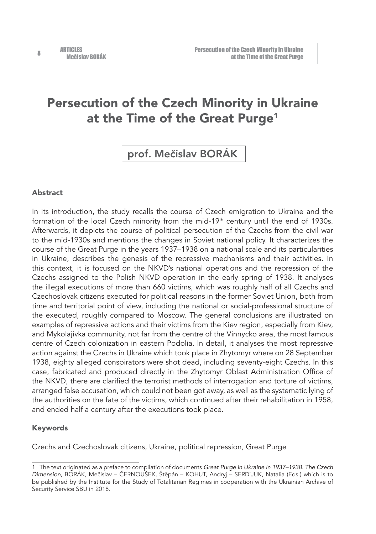# **Persecution of the Czech Minority in Ukraine at the Time of the Great Purge1**

# prof. Mečislav BORÁK

### **Abstract**

In its introduction, the study recalls the course of Czech emigration to Ukraine and the formation of the local Czech minority from the mid-19<sup>th</sup> century until the end of 1930s. Afterwards, it depicts the course of political persecution of the Czechs from the civil war to the mid-1930s and mentions the changes in Soviet national policy. It characterizes the course of the Great Purge in the years 1937–1938 on a national scale and its particularities in Ukraine, describes the genesis of the repressive mechanisms and their activities. In this context, it is focused on the NKVD's national operations and the repression of the Czechs assigned to the Polish NKVD operation in the early spring of 1938. It analyses the illegal executions of more than 660 victims, which was roughly half of all Czechs and Czechoslovak citizens executed for political reasons in the former Soviet Union, both from time and territorial point of view, including the national or social-professional structure of the executed, roughly compared to Moscow. The general conclusions are illustrated on examples of repressive actions and their victims from the Kiev region, especially from Kiev, and Mykolajivka community, not far from the centre of the Vinnycko area, the most famous centre of Czech colonization in eastern Podolia. In detail, it analyses the most repressive action against the Czechs in Ukraine which took place in Zhytomyr where on 28 September 1938, eighty alleged conspirators were shot dead, including seventy-eight Czechs. In this case, fabricated and produced directly in the Zhytomyr Oblast Administration Office of the NKVD, there are clarified the terrorist methods of interrogation and torture of victims, arranged false accusation, which could not been got away, as well as the systematic lying of the authorities on the fate of the victims, which continued after their rehabilitation in 1958, and ended half a century after the executions took place.

### **Keywords**

Czechs and Czechoslovak citizens, Ukraine, political repression, Great Purge

<sup>1</sup> The text originated as a preface to compilation of documents Great Purge in Ukraine in 1937–1938. The Czech Dimension, BORÁK, Mečislav – ČERNOUŠEK, Štěpán – KOHUT, Andryj – SERD´JUK, Natalia (Eds.) which is to be published by the Institute for the Study of Totalitarian Regimes in cooperation with the Ukrainian Archive of Security Service SBU in 2018.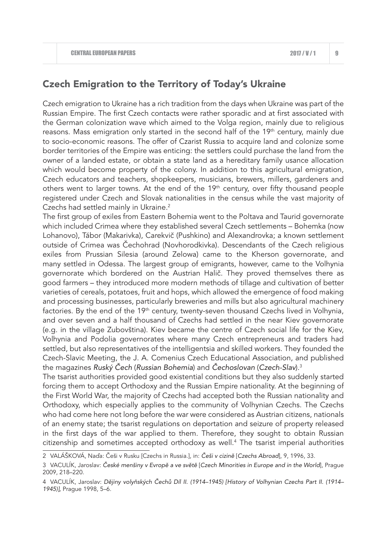### **Czech Emigration to the Territory of Today's Ukraine**

Czech emigration to Ukraine has a rich tradition from the days when Ukraine was part of the Russian Empire. The first Czech contacts were rather sporadic and at first associated with the German colonization wave which aimed to the Volga region, mainly due to religious reasons. Mass emigration only started in the second half of the  $19<sup>th</sup>$  century, mainly due to socio-economic reasons. The offer of Czarist Russia to acquire land and colonize some border territories of the Empire was enticing: the settlers could purchase the land from the owner of a landed estate, or obtain a state land as a hereditary family usance allocation which would become property of the colony. In addition to this agricultural emigration, Czech educators and teachers, shopkeepers, musicians, brewers, millers, gardeners and others went to larger towns. At the end of the  $19<sup>th</sup>$  century, over fifty thousand people registered under Czech and Slovak nationalities in the census while the vast majority of Czechs had settled mainly in Ukraine.<sup>2</sup>

The first group of exiles from Eastern Bohemia went to the Poltava and Taurid governorate which included Crimea where they established several Czech settlements – Bohemka (now Lohanovo), Tábor (Makarivka), Carekvič (Pushkino) and Alexandrovka; a known settlement outside of Crimea was Čechohrad (Novhorodkivka). Descendants of the Czech religious exiles from Prussian Silesia (around Zelowa) came to the Kherson governorate, and many settled in Odessa. The largest group of emigrants, however, came to the Volhynia governorate which bordered on the Austrian Halič. They proved themselves there as good farmers – they introduced more modern methods of tillage and cultivation of better varieties of cereals, potatoes, fruit and hops, which allowed the emergence of food making and processing businesses, particularly breweries and mills but also agricultural machinery factories. By the end of the  $19<sup>th</sup>$  century, twenty-seven thousand Czechs lived in Volhynia, and over seven and a half thousand of Czechs had settled in the near Kiev governorate (e.g. in the village Zubovština). Kiev became the centre of Czech social life for the Kiev, Volhynia and Podolia governorates where many Czech entrepreneurs and traders had settled, but also representatives of the intelligentsia and skilled workers. They founded the Czech-Slavic Meeting, the J. A. Comenius Czech Educational Association, and published the magazines Ruský Čech (Russian Bohemia) and Čechoslovan (Czech-Slav).<sup>3</sup>

The tsarist authorities provided good existential conditions but they also suddenly started forcing them to accept Orthodoxy and the Russian Empire nationality. At the beginning of the First World War, the majority of Czechs had accepted both the Russian nationality and Orthodoxy, which especially applies to the community of Volhynian Czechs. The Czechs who had come here not long before the war were considered as Austrian citizens, nationals of an enemy state; the tsarist regulations on deportation and seizure of property released in the first days of the war applied to them. Therefore, they sought to obtain Russian citizenship and sometimes accepted orthodoxy as well.4 The tsarist imperial authorities

<sup>2</sup> VALÁŠKOVÁ, Naďa: Češi v Rusku [Czechs in Russia.], in: Češi v cizině [Czechs Abroad], 9, 1996, 33.

<sup>3</sup> VACULÍK, Jaroslav: České menšiny v Evropě a ve světě [Czech Minorities in Europe and in the World], Prague 2009, 218–220.

<sup>4</sup> VACULÍK, Jaroslav: Dějiny volyňských Čechů Díl II. (1914–1945) [History of Volhynian Czechs Part II. (1914– 1945)], Prague 1998, 5–6.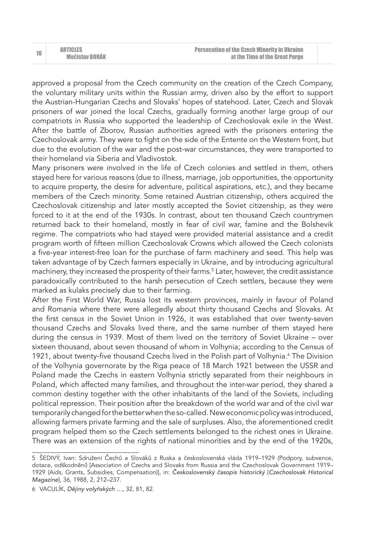approved a proposal from the Czech community on the creation of the Czech Company, the voluntary military units within the Russian army, driven also by the effort to support the Austrian-Hungarian Czechs and Slovaks' hopes of statehood. Later, Czech and Slovak prisoners of war joined the local Czechs, gradually forming another large group of our compatriots in Russia who supported the leadership of Czechoslovak exile in the West. After the battle of Zborov, Russian authorities agreed with the prisoners entering the Czechoslovak army. They were to fight on the side of the Entente on the Western front, but due to the evolution of the war and the post-war circumstances, they were transported to their homeland via Siberia and Vladivostok.

Many prisoners were involved in the life of Czech colonies and settled in them, others stayed here for various reasons (due to illness, marriage, job opportunities, the opportunity to acquire property, the desire for adventure, political aspirations, etc.), and they became members of the Czech minority. Some retained Austrian citizenship, others acquired the Czechoslovak citizenship and later mostly accepted the Soviet citizenship, as they were forced to it at the end of the 1930s. In contrast, about ten thousand Czech countrymen returned back to their homeland, mostly in fear of civil war, famine and the Bolshevik regime. The compatriots who had stayed were provided material assistance and a credit program worth of fifteen million Czechoslovak Crowns which allowed the Czech colonists a five-year interest-free loan for the purchase of farm machinery and seed. This help was taken advantage of by Czech farmers especially in Ukraine, and by introducing agricultural machinery, they increased the prosperity of their farms.5 Later, however, the credit assistance paradoxically contributed to the harsh persecution of Czech settlers, because they were marked as kulaks precisely due to their farming.

After the First World War, Russia lost its western provinces, mainly in favour of Poland and Romania where there were allegedly about thirty thousand Czechs and Slovaks. At the first census in the Soviet Union in 1926, it was established that over twenty-seven thousand Czechs and Slovaks lived there, and the same number of them stayed here during the census in 1939. Most of them lived on the territory of Soviet Ukraine – over sixteen thousand, about seven thousand of whom in Volhynia; according to the Census of 1921, about twenty-five thousand Czechs lived in the Polish part of Volhynia.<sup>6</sup> The Division of the Volhynia governorate by the Riga peace of 18 March 1921 between the USSR and Poland made the Czechs in eastern Volhynia strictly separated from their neighbours in Poland, which affected many families, and throughout the inter-war period, they shared a common destiny together with the other inhabitants of the land of the Soviets, including political repression. Their position after the breakdown of the world war and of the civil war temporarily changed for the better when the so-called. New economic policy was introduced, allowing farmers private farming and the sale of surpluses. Also, the aforementioned credit program helped them so the Czech settlements belonged to the richest ones in Ukraine. There was an extension of the rights of national minorities and by the end of the 1920s,

<sup>5</sup> ŠEDIVÝ, Ivan: Sdružení Čechů a Slováků z Ruska a československá vláda 1919–1929 (Podpory, subvence, dotace, odškodnění) [Association of Czechs and Slovaks from Russia and the Czechoslovak Government 1919– 1929 (Aids, Grants, Subsidies, Compensation)], in: Československý časopis historický [Czechoslovak Historical Magazine], 36, 1988, 2, 212–237.

<sup>6</sup> VACULÍK, Dějiny volyňských …, 32, 81, 82.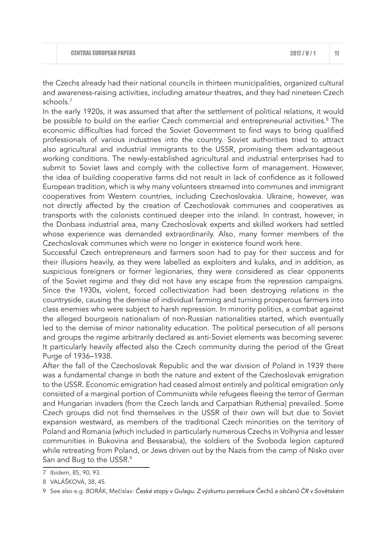the Czechs already had their national councils in thirteen municipalities, organized cultural and awareness-raising activities, including amateur theatres, and they had nineteen Czech schools<sup>7</sup>

In the early 1920s, it was assumed that after the settlement of political relations, it would be possible to build on the earlier Czech commercial and entrepreneurial activities. ${}^{8}$  The economic difficulties had forced the Soviet Government to find ways to bring qualified professionals of various industries into the country. Soviet authorities tried to attract also agricultural and industrial immigrants to the USSR, promising them advantageous working conditions. The newly-established agricultural and industrial enterprises had to submit to Soviet laws and comply with the collective form of management. However, the idea of building cooperative farms did not result in lack of confidence as it followed European tradition, which is why many volunteers streamed into communes and immigrant cooperatives from Western countries, including Czechoslovakia. Ukraine, however, was not directly affected by the creation of Czechoslovak communes and cooperatives as transports with the colonists continued deeper into the inland. In contrast, however, in the Donbass industrial area, many Czechoslovak experts and skilled workers had settled whose experience was demanded extraordinarily. Also, many former members of the Czechoslovak communes which were no longer in existence found work here.

Successful Czech entrepreneurs and farmers soon had to pay for their success and for their illusions heavily, as they were labelled as exploiters and kulaks, and in addition, as suspicious foreigners or former legionaries, they were considered as clear opponents of the Soviet regime and they did not have any escape from the repression campaigns. Since the 1930s, violent, forced collectivization had been destroying relations in the countryside, causing the demise of individual farming and turning prosperous farmers into class enemies who were subject to harsh repression. In minority politics, a combat against the alleged bourgeois nationalism of non-Russian nationalities started, which eventually led to the demise of minor nationality education. The political persecution of all persons and groups the regime arbitrarily declared as anti-Soviet elements was becoming severer. It particularly heavily affected also the Czech community during the period of the Great Purge of 1936–1938.

After the fall of the Czechoslovak Republic and the war division of Poland in 1939 there was a fundamental change in both the nature and extent of the Czechoslovak emigration to the USSR. Economic emigration had ceased almost entirely and political emigration only consisted of a marginal portion of Communists while refugees fleeing the terror of German and Hungarian invaders (from the Czech lands and Carpathian Ruthenia) prevailed. Some Czech groups did not find themselves in the USSR of their own will but due to Soviet expansion westward, as members of the traditional Czech minorities on the territory of Poland and Romania (which included in particularly numerous Czechs in Volhynia and lesser communities in Bukovina and Bessarabia), the soldiers of the Svoboda legion captured while retreating from Poland, or Jews driven out by the Nazis from the camp of Nisko over San and Bug to the USSR.<sup>9</sup>

<sup>7</sup> Ibidem, 85, 90, 93.

<sup>8</sup> VALÁŠKOVÁ, 38, 45.

<sup>9</sup> See also e.g. BORÁK, Mečislav: České stopy v Gulagu. Z výzkumu perzekuce Čechů a občanů ČR v Sovětském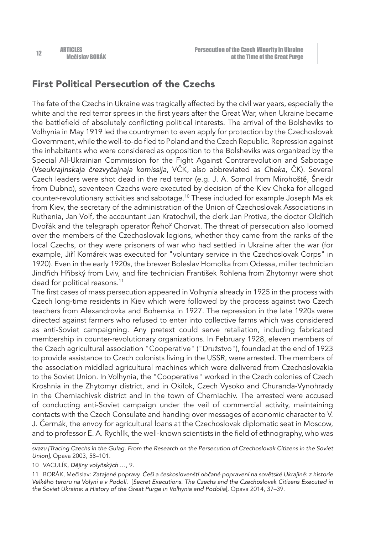# **First Political Persecution of the Czechs**

The fate of the Czechs in Ukraine was tragically affected by the civil war years, especially the white and the red terror sprees in the first years after the Great War, when Ukraine became the battlefield of absolutely conflicting political interests. The arrival of the Bolsheviks to Volhynia in May 1919 led the countrymen to even apply for protection by the Czechoslovak Government, while the well-to-do fled to Poland and the Czech Republic. Repression against the inhabitants who were considered as opposition to the Bolsheviks was organized by the Special All-Ukrainian Commission for the Fight Against Contrarevolution and Sabotage (Vseukrajinskaja črezvyčajnaja komissija, VČK, also abbreviated as Cheka, ČK). Several Czech leaders were shot dead in the red terror (e.g. J. A. Somol from Mirohoště, Šneidr from Dubno), seventeen Czechs were executed by decision of the Kiev Cheka for alleged counter-revolutionary activities and sabotage.10 These included for example Joseph Ma ek from Kiev, the secretary of the administration of the Union of Czechoslovak Associations in Ruthenia, Jan Volf, the accountant Jan Kratochvíl, the clerk Jan Protiva, the doctor Oldřich Dvořák and the telegraph operator Řehoř Chorvat. The threat of persecution also loomed over the members of the Czechoslovak legions, whether they came from the ranks of the local Czechs, or they were prisoners of war who had settled in Ukraine after the war (for example, Jiří Komárek was executed for "voluntary service in the Czechoslovak Corps" in 1920). Even in the early 1920s, the brewer Boleslav Homolka from Odessa, miller technician Jindřich Hřibský from Lviv, and fire technician František Rohlena from Zhytomyr were shot dead for political reasons.<sup>11</sup>

The first cases of mass persecution appeared in Volhynia already in 1925 in the process with Czech long-time residents in Kiev which were followed by the process against two Czech teachers from Alexandrovka and Bohemka in 1927. The repression in the late 1920s were directed against farmers who refused to enter into collective farms which was considered as anti-Soviet campaigning. Any pretext could serve retaliation, including fabricated membership in counter-revolutionary organizations. In February 1928, eleven members of the Czech agricultural association "Cooperative" ("Družstvo"), founded at the end of 1923 to provide assistance to Czech colonists living in the USSR, were arrested. The members of the association middled agricultural machines which were delivered from Czechoslovakia to the Soviet Union. In Volhynia, the "Cooperative" worked in the Czech colonies of Czech Kroshnia in the Zhytomyr district, and in Okilok, Czech Vysoko and Churanda-Vynohrady in the Cherniachivsk district and in the town of Cherniachiv. The arrested were accused of conducting anti-Soviet campaign under the veil of commercial activity, maintaining contacts with the Czech Consulate and handing over messages of economic character to V. J. Čermák, the envoy for agricultural loans at the Czechoslovak diplomatic seat in Moscow, and to professor E. A. Rychlík, the well-known scientists in the field of ethnography, who was

svazu [Tracing Czechs in the Gulag. From the Research on the Persecution of Czechoslovak Citizens in the Soviet Union], Opava 2003, 58–101.

<sup>10</sup> VACULÍK, Dějiny volyňských …, 9.

<sup>11</sup> BORÁK, Mečislav: Zatajené popravy. Češi a českoslovenští občané popravení na sovětské Ukrajině: z historie Velkého teroru na Volyni a v Podolí. [Secret Executions. The Czechs and the Czechoslovak Citizens Executed in the Soviet Ukraine: a History of the Great Purge in Volhynia and Podolia], Opava 2014, 37–39.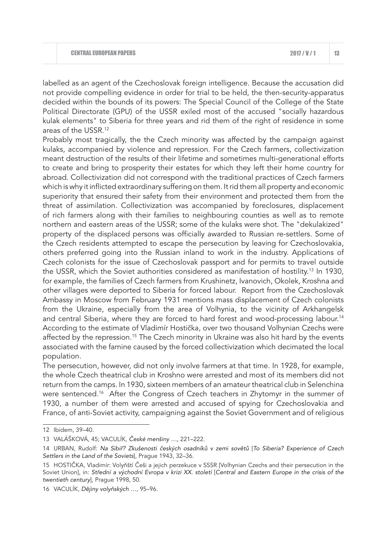labelled as an agent of the Czechoslovak foreign intelligence. Because the accusation did not provide compelling evidence in order for trial to be held, the then-security-apparatus decided within the bounds of its powers: The Special Council of the College of the State Political Directorate (GPU) of the USSR exiled most of the accused "socially hazardous kulak elements" to Siberia for three years and rid them of the right of residence in some areas of the USSR.12

Probably most tragically, the the Czech minority was affected by the campaign against kulaks, accompanied by violence and repression. For the Czech farmers, collectivization meant destruction of the results of their lifetime and sometimes multi-generational efforts to create and bring to prosperity their estates for which they left their home country for abroad. Collectivization did not correspond with the traditional practices of Czech farmers which is why it inflicted extraordinary suffering on them. It rid them all property and economic superiority that ensured their safety from their environment and protected them from the threat of assimilation. Collectivization was accompanied by foreclosures, displacement of rich farmers along with their families to neighbouring counties as well as to remote northern and eastern areas of the USSR; some of the kulaks were shot. The "dekulakized" property of the displaced persons was officially awarded to Russian re-settlers. Some of the Czech residents attempted to escape the persecution by leaving for Czechoslovakia, others preferred going into the Russian inland to work in the industry. Applications of Czech colonists for the issue of Czechoslovak passport and for permits to travel outside the USSR, which the Soviet authorities considered as manifestation of hostility.13 In 1930, for example, the families of Czech farmers from Krushinetz, Ivanovich, Okolek, Kroshna and other villages were deported to Siberia for forced labour. Report from the Czechoslovak Ambassy in Moscow from February 1931 mentions mass displacement of Czech colonists from the Ukraine, especially from the area of Volhynia, to the vicinity of Arkhangelsk and central Siberia, where they are forced to hard forest and wood-processing labour.<sup>14</sup> According to the estimate of Vladimír Hostička, over two thousand Volhynian Czechs were affected by the repression.15 The Czech minority in Ukraine was also hit hard by the events associated with the famine caused by the forced collectivization which decimated the local population.

The persecution, however, did not only involve farmers at that time. In 1928, for example, the whole Czech theatrical club in Kroshno were arrested and most of its members did not return from the camps. In 1930, sixteen members of an amateur theatrical club in Selenchina were sentenced.<sup>16</sup> After the Congress of Czech teachers in Zhytomyr in the summer of 1930, a number of them were arrested and accused of spying for Czechoslovakia and France, of anti-Soviet activity, campaigning against the Soviet Government and of religious

<sup>12</sup> Ibidem, 39–40.

<sup>13</sup> VALÁŠKOVÁ, 45; VACULÍK, České menšiny …, 221–222.

<sup>14</sup> URBAN, Rudolf: Na Sibiř? Zkušenosti českých osadníků v zemi sovětů [To Siberia? Experience of Czech Settlers in the Land of the Soviets], Prague 1943, 32–36.

<sup>15</sup> HOSTIČKA, Vladimír: Volyňští Češi a jejich perzekuce v SSSR [Volhynian Czechs and their persecution in the Soviet Union], in: Střední a východní Evropa v krizi XX. století [Central and Eastern Europe in the crisis of the twentieth century], Prague 1998, 50.

<sup>16</sup> VACULÍK, Dějiny volyňských …, 95–96.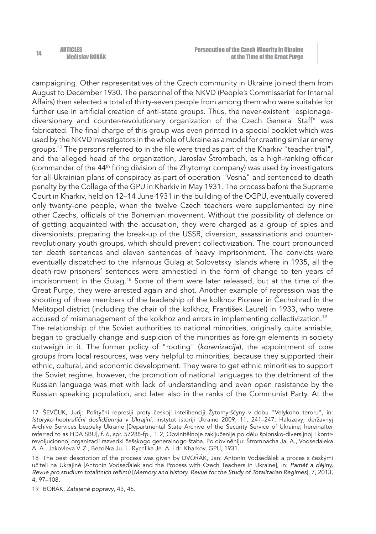campaigning. Other representatives of the Czech community in Ukraine joined them from August to December 1930. The personnel of the NKVD (People's Commissariat for Internal Affairs) then selected a total of thirty-seven people from among them who were suitable for further use in artificial creation of anti-state groups. Thus, the never-existent "espionagediversionary and counter-revolutionary organization of the Czech General Staff" was fabricated. The final charge of this group was even printed in a special booklet which was used by the NKVD investigators in the whole of Ukraine as a model for creating similar enemy groups.<sup>17</sup> The persons referred to in the file were tried as part of the Kharkiv "teacher trial", and the alleged head of the organization, Jaroslav Štrombach, as a high-ranking officer (commander of the 44<sup>th</sup> firing division of the Zhytomyr company) was used by investigators for all-Ukrainian plans of conspiracy as part of operation "Vesna" and sentenced to death penalty by the College of the GPU in Kharkiv in May 1931. The process before the Supreme Court in Kharkiv, held on 12–14 June 1931 in the building of the OGPU, eventually covered only twenty-one people, when the twelve Czech teachers were supplemented by nine other Czechs, officials of the Bohemian movement. Without the possibility of defence or of getting acquainted with the accusation, they were charged as a group of spies and diversionists, preparing the break-up of the USSR, diversion, assassinations and counterrevolutionary youth groups, which should prevent collectivization. The court pronounced ten death sentences and eleven sentences of heavy imprisonment. The convicts were eventually dispatched to the infamous Gulag at Solovetsky Islands where in 1935, all the death-row prisoners' sentences were amnestied in the form of change to ten years of imprisonment in the Gulag.<sup>18</sup> Some of them were later released, but at the time of the Great Purge, they were arrested again and shot. Another example of repression was the shooting of three members of the leadership of the kolkhoz Pioneer in Čechohrad in the Melitopol district (including the chair of the kolkhoz, František Laurel) in 1933, who were accused of mismanagement of the kolkhoz and errors in implementing collectivization.19 The relationship of the Soviet authorities to national minorities, originally quite amiable, began to gradually change and suspicion of the minorities as foreign elements in society

outweigh in it. The former policy of "rooting" (korenizacija), the appointment of core groups from local resources, was very helpful to minorities, because they supported their ethnic, cultural, and economic development. They were to get ethnic minorities to support the Soviet regime, however, the promotion of national languages to the detriment of the Russian language was met with lack of understanding and even open resistance by the Russian speaking population, and later also in the ranks of the Communist Party. At the

<sup>17</sup> ŠEVČUK, Jurij: Polityčni represiji proty českoji intelihenciji Žytomyrščyny v dobu "Velykoho teroru", in: Istoryko-heohrafični doslidžennja v Ukrajini, Instytut istoriji Ukraine 2009, 11, 241–247; Haluzevyj deržavnyj Archive Services bezpeky Ukraine [Departmental State Archive of the Security Service of Ukraine; hereinafter referred to as HDA SBU], f. 6, spr. 57288-fp., T. 2, Obvinitělnoje zaključenije po dělu špionsko-diversijnoj i kontrrevoljucionnoj organizacii razvedki češskogo generalnogo štaba. Po obviněniju: Štrombacha Ja. A., Vodsedaleka A. A., Jakovleva V. Z., Bezděka Ju. I.. Rychlika Je. A. i dr. Kharkov, GPU, 1931.

<sup>18</sup> The best description of the process was given by DVOŘÁK, Jan: Antonín Vodseďálek a proces s českými učiteli na Ukrajině [Antonín Vodseďálek and the Process with Czech Teachers in Ukraine], in: Paměť a dějiny, Revue pro studium totalitních režimů [Memory and history. Revue for the Study of Totalitarian Regimes], 7, 2013, 4, 97–108.

<sup>19</sup> BORÁK, Zatajené popravy, 43, 46.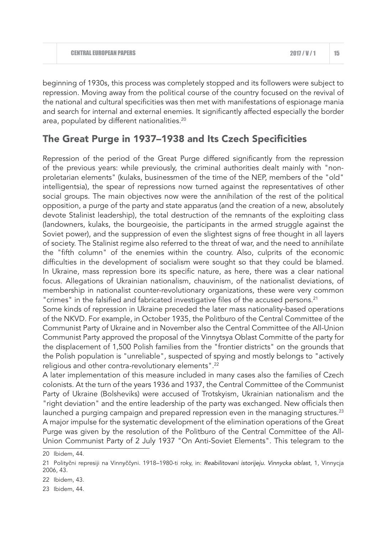beginning of 1930s, this process was completely stopped and its followers were subject to repression. Moving away from the political course of the country focused on the revival of the national and cultural specificities was then met with manifestations of espionage mania and search for internal and external enemies. It significantly affected especially the border area, populated by different nationalities.<sup>20</sup>

## **The Great Purge in 1937–1938 and Its Czech Specificities**

Repression of the period of the Great Purge differed significantly from the repression of the previous years: while previously, the criminal authorities dealt mainly with "nonproletarian elements" (kulaks, businessmen of the time of the NEP, members of the "old" intelligentsia), the spear of repressions now turned against the representatives of other social groups. The main objectives now were the annihilation of the rest of the political opposition, a purge of the party and state apparatus (and the creation of a new, absolutely devote Stalinist leadership), the total destruction of the remnants of the exploiting class (landowners, kulaks, the bourgeoisie, the participants in the armed struggle against the Soviet power), and the suppression of even the slightest signs of free thought in all layers of society. The Stalinist regime also referred to the threat of war, and the need to annihilate the "fifth column" of the enemies within the country. Also, culprits of the economic difficulties in the development of socialism were sought so that they could be blamed. In Ukraine, mass repression bore its specific nature, as here, there was a clear national focus. Allegations of Ukrainian nationalism, chauvinism, of the nationalist deviations, of membership in nationalist counter-revolutionary organizations, these were very common "crimes" in the falsified and fabricated investigative files of the accused persons.<sup>21</sup>

Some kinds of repression in Ukraine preceded the later mass nationality-based operations of the NKVD. For example, in October 1935, the Politburo of the Central Committee of the Communist Party of Ukraine and in November also the Central Committee of the All-Union Communist Party approved the proposal of the Vinnytsya Oblast Committe of the party for the displacement of 1,500 Polish families from the "frontier districts" on the grounds that the Polish population is "unreliable", suspected of spying and mostly belongs to "actively religious and other contra-revolutionary elements".<sup>22</sup>

A later implementation of this measure included in many cases also the families of Czech colonists. At the turn of the years 1936 and 1937, the Central Committee of the Communist Party of Ukraine (Bolsheviks) were accused of Trotskyism, Ukrainian nationalism and the "right deviation" and the entire leadership of the party was exchanged. New officials then launched a purging campaign and prepared repression even in the managing structures.<sup>23</sup> A major impulse for the systematic development of the elimination operations of the Great Purge was given by the resolution of the Politburo of the Central Committee of the All-Union Communist Party of 2 July 1937 "On Anti-Soviet Elements". This telegram to the

<sup>20</sup> Ibidem, 44.

<sup>21</sup> Polityčni represiji na Vinnyččyni. 1918–1980-ti roky, in: Reabilitovani istorijeju. Vinnycka oblast, 1, Vinnycja 2006, 43.

<sup>22</sup> Ibidem, 43.

<sup>23</sup> Ibidem, 44.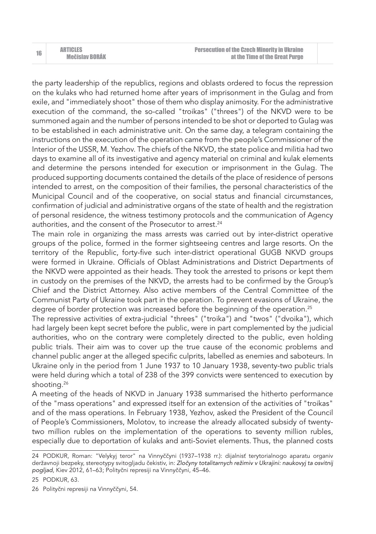the party leadership of the republics, regions and oblasts ordered to focus the repression on the kulaks who had returned home after years of imprisonment in the Gulag and from exile, and "immediately shoot" those of them who display animosity. For the administrative execution of the command, the so-called "troikas" ("threes") of the NKVD were to be summoned again and the number of persons intended to be shot or deported to Gulag was to be established in each administrative unit. On the same day, a telegram containing the instructions on the execution of the operation came from the people's Commissioner of the Interior of the USSR, M. Yezhov. The chiefs of the NKVD, the state police and militia had two days to examine all of its investigative and agency material on criminal and kulak elements and determine the persons intended for execution or imprisonment in the Gulag. The produced supporting documents contained the details of the place of residence of persons intended to arrest, on the composition of their families, the personal characteristics of the Municipal Council and of the cooperative, on social status and financial circumstances, confirmation of judicial and administrative organs of the state of health and the registration of personal residence, the witness testimony protocols and the communication of Agency authorities, and the consent of the Prosecutor to arrest.<sup>24</sup>

The main role in organizing the mass arrests was carried out by inter-district operative groups of the police, formed in the former sightseeing centres and large resorts. On the territory of the Republic, forty-five such inter-district operational GUGB NKVD groups were formed in Ukraine. Officials of Oblast Administrations and District Departments of the NKVD were appointed as their heads. They took the arrested to prisons or kept them in custody on the premises of the NKVD, the arrests had to be confirmed by the Group's Chief and the District Attorney. Also active members of the Central Committee of the Communist Party of Ukraine took part in the operation. To prevent evasions of Ukraine, the degree of border protection was increased before the beginning of the operation.<sup>25</sup>

The repressive activities of extra-judicial "threes" ("troika") and "twos" ("dvoika"), which had largely been kept secret before the public, were in part complemented by the judicial authorities, who on the contrary were completely directed to the public, even holding public trials. Their aim was to cover up the true cause of the economic problems and channel public anger at the alleged specific culprits, labelled as enemies and saboteurs. In Ukraine only in the period from 1 June 1937 to 10 January 1938, seventy-two public trials were held during which a total of 238 of the 399 convicts were sentenced to execution by shooting.26

A meeting of the heads of NKVD in January 1938 summarised the hitherto performance of the "mass operations" and expressed itself for an extension of the activities of "troikas" and of the mass operations. In February 1938, Yezhov, asked the President of the Council of People's Commissioners, Molotov, to increase the already allocated subsidy of twentytwo million rubles on the implementation of the operations to seventy million rubles, especially due to deportation of kulaks and anti-Soviet elements. Thus, the planned costs

<sup>24</sup> PODKUR, Roman: "Velykyj teror" na Vinnyččyni (1937–1938 rr.): dijalnisť terytorialnogo aparatu organiv deržavnoji bezpeky, stereotypy svitogljadu čekistiv, in: Zločyny totalitarnych režimiv v Ukrajini: naukovyj ta osvitnij pogljad, Kiev 2012, 61–63; Polityčni represiji na Vinnyččyni, 45–46.

<sup>25</sup> PODKUR, 63.

<sup>26</sup> Polityčni represiji na Vinnyččyni, 54.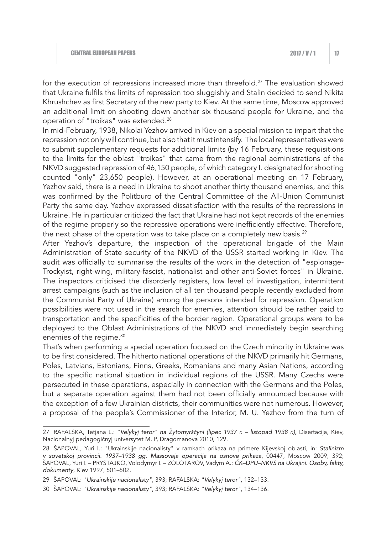for the execution of repressions increased more than threefold.<sup>27</sup> The evaluation showed that Ukraine fulfils the limits of repression too sluggishly and Stalin decided to send Nikita Khrushchev as first Secretary of the new party to Kiev. At the same time, Moscow approved an additional limit on shooting down another six thousand people for Ukraine, and the operation of "troikas" was extended.28

In mid-February, 1938, Nikolai Yezhov arrived in Kiev on a special mission to impart that the repression not only will continue, but also that it must intensify. The local representatives were to submit supplementary requests for additional limits (by 16 February, these requisitions to the limits for the oblast "troikas" that came from the regional administrations of the NKVD suggested repression of 46,150 people, of which category I. designated for shooting counted "only" 23,650 people). However, at an operational meeting on 17 February, Yezhov said, there is a need in Ukraine to shoot another thirty thousand enemies, and this was confirmed by the Politburo of the Central Committee of the All-Union Communist Party the same day. Yezhov expressed dissatisfaction with the results of the repressions in Ukraine. He in particular criticized the fact that Ukraine had not kept records of the enemies of the regime properly so the repressive operations were inefficiently effective. Therefore, the next phase of the operation was to take place on a completely new basis.<sup>29</sup>

After Yezhov's departure, the inspection of the operational brigade of the Main Administration of State security of the NKVD of the USSR started working in Kiev. The audit was officially to summarise the results of the work in the detection of "espionage-Trockyist, right-wing, military-fascist, nationalist and other anti-Soviet forces" in Ukraine. The inspectors criticised the disorderly registers, low level of investigation, intermittent arrest campaigns (such as the inclusion of all ten thousand people recently excluded from the Communist Party of Ukraine) among the persons intended for repression. Operation possibilities were not used in the search for enemies, attention should be rather paid to transportation and the specificities of the border region. Operational groups were to be deployed to the Oblast Administrations of the NKVD and immediately begin searching enemies of the regime.<sup>30</sup>

That's when performing a special operation focused on the Czech minority in Ukraine was to be first considered. The hitherto national operations of the NKVD primarily hit Germans, Poles, Latvians, Estonians, Finns, Greeks, Romanians and many Asian Nations, according to the specific national situation in individual regions of the USSR. Many Czechs were persecuted in these operations, especially in connection with the Germans and the Poles, but a separate operation against them had not been officially announced because with the exception of a few Ukrainian districts, their communities were not numerous. However, a proposal of the people's Commissioner of the Interior, M. U. Yezhov from the turn of

<sup>27</sup> RAFALSKA, Tetjana L.: "Velykyj teror" na Žytomyrščyni (lipec 1937 r. – listopad 1938 r.), Disertacija, Kiev, Nacionalnyj pedagogičnyj universytet M. P, Dragomanova 2010, 129.

<sup>28</sup> ŠAPOVAL, Yuri I.: "Ukrainskije nacionalisty" v ramkach prikaza na primere Kijevskoj oblasti, in: Stalinizm v sovetskoj provincii. 1937–1938 gg. Massovaja operacija na osnove prikaza, 00447, Moscow 2009, 392; ŠAPOVAL, Yuri I. – PRYSTAJKO, Volodymyr I. – ZOLOTAROV, Vadym A.: ČK–DPU–NKVS na Ukrajini. Osoby, fakty, dokumenty, Kiev 1997, 501–502.

<sup>29</sup> ŠAPOVAL: "Ukrainskije nacionalisty", 393; RAFALSKA: "Velykyj teror", 132–133.

<sup>30</sup> ŠAPOVAL: "Ukrainskije nacionalisty", 393; RAFALSKA: "Velykyj teror", 134–136.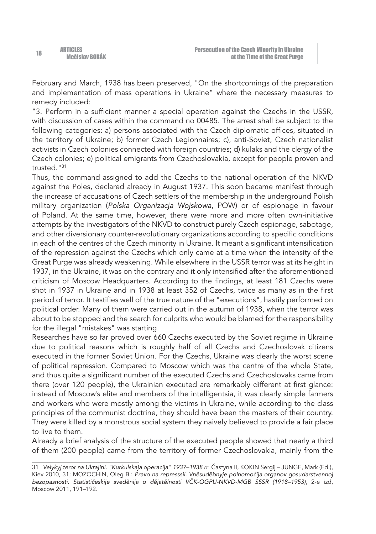| 18 | <b>ARTICLES</b>       | <b>Persecution of the Czech Minority in Ukraine</b> |
|----|-----------------------|-----------------------------------------------------|
|    | <b>Mečislav BORÁK</b> | at the Time of the Great Purge                      |

February and March, 1938 has been preserved, "On the shortcomings of the preparation and implementation of mass operations in Ukraine" where the necessary measures to remedy included:

"3. Perform in a sufficient manner a special operation against the Czechs in the USSR, with discussion of cases within the command no 00485. The arrest shall be subject to the following categories: a) persons associated with the Czech diplomatic offices, situated in the territory of Ukraine; b) former Czech Legionnaires; c), anti-Soviet, Czech nationalist activists in Czech colonies connected with foreign countries; d) kulaks and the clergy of the Czech colonies; e) political emigrants from Czechoslovakia, except for people proven and trusted<sup>"31</sup>

Thus, the command assigned to add the Czechs to the national operation of the NKVD against the Poles, declared already in August 1937. This soon became manifest through the increase of accusations of Czech settlers of the membership in the underground Polish military organization (Polska Organizacja Wojskowa, POW) or of espionage in favour of Poland. At the same time, however, there were more and more often own-initiative attempts by the investigators of the NKVD to construct purely Czech espionage, sabotage, and other diversionary counter-revolutionary organizations according to specific conditions in each of the centres of the Czech minority in Ukraine. It meant a significant intensification of the repression against the Czechs which only came at a time when the intensity of the Great Purge was already weakening. While elsewhere in the USSR terror was at its height in 1937, in the Ukraine, it was on the contrary and it only intensified after the aforementioned criticism of Moscow Headquarters. According to the findings, at least 181 Czechs were shot in 1937 in Ukraine and in 1938 at least 352 of Czechs, twice as many as in the first period of terror. It testifies well of the true nature of the "executions", hastily performed on political order. Many of them were carried out in the autumn of 1938, when the terror was about to be stopped and the search for culprits who would be blamed for the responsibility for the illegal "mistakes" was starting.

Researches have so far proved over 660 Czechs executed by the Soviet regime in Ukraine due to political reasons which is roughly half of all Czechs and Czechoslovak citizens executed in the former Soviet Union. For the Czechs, Ukraine was clearly the worst scene of political repression. Compared to Moscow which was the centre of the whole State, and thus quite a significant number of the executed Czechs and Czechoslovaks came from there (over 120 people), the Ukrainian executed are remarkably different at first glance: instead of Moscow's elite and members of the intelligentsia, it was clearly simple farmers and workers who were mostly among the victims in Ukraine, while according to the class principles of the communist doctrine, they should have been the masters of their country. They were killed by a monstrous social system they naively believed to provide a fair place to live to them.

Already a brief analysis of the structure of the executed people showed that nearly a third of them (200 people) came from the territory of former Czechoslovakia, mainly from the

<sup>31</sup> Velykyj teror na Ukrajini. "Kurkulskaja operacija" 1937–1938 rr. Častyna II, KOKIN Sergij – JUNGE, Mark (Ed.), Kiev 2010, 31; MOZOCHIN, Oleg B.: Pravo na represssii. Vněsuděbnyje polnomočija organov gosudarstvennoj bezopasnosti. Statističeskije sveděnija o dějatělnosti VČK-OGPU-NKVD-MGB SSSR (1918–1953), 2-e izd, Moscow 2011, 191–192.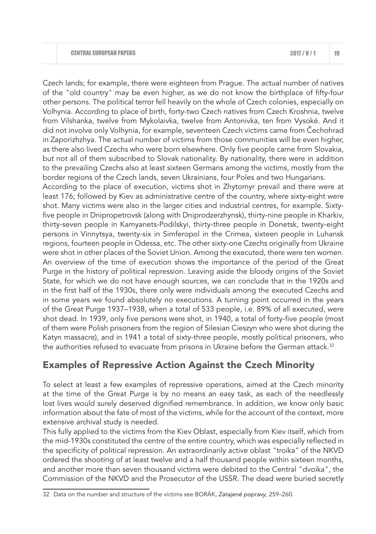Czech lands; for example, there were eighteen from Prague. The actual number of natives of the "old country" may be even higher, as we do not know the birthplace of fifty-four other persons. The political terror fell heavily on the whole of Czech colonies, especially on Volhynia. According to place of birth, forty-two Czech natives from Czech Kroshnia, twelve from Vilshanka, twelve from Mykolaivka, twelve from Antonivka, ten from Vysoké. And it did not involve only Volhynia, for example, seventeen Czech victims came from Čechohrad in Zaporizhzhya. The actual number of victims from those communities will be even higher, as there also lived Czechs who were born elsewhere. Only five people came from Slovakia, but not all of them subscribed to Slovak nationality. By nationality, there were in addition to the prevailing Czechs also at least sixteen Germans among the victims, mostly from the border regions of the Czech lands, seven Ukrainians, four Poles and two Hungarians.

According to the place of execution, victims shot in Zhytomyr prevail and there were at least 176; followed by Kiev as administrative centre of the country, where sixty-eight were shot. Many victims were also in the larger cities and industrial centres, for example. Sixtyfive people in Dnipropetrovsk (along with Dniprodzerzhynsk), thirty-nine people in Kharkiv, thirty-seven people in Kamyanets-Podilskyi, thirty-three people in Donetsk, twenty-eight persons in Vinnytsya, twenty-six in Simferopol in the Crimea, sixteen people in Luhansk regions, fourteen people in Odessa, etc. The other sixty-one Czechs originally from Ukraine were shot in other places of the Soviet Union. Among the executed, there were ten women. An overview of the time of execution shows the importance of the period of the Great Purge in the history of political repression. Leaving aside the bloody origins of the Soviet State, for which we do not have enough sources, we can conclude that in the 1920s and in the first half of the 1930s, there only were individuals among the executed Czechs and in some years we found absolutely no executions. A turning point occurred in the years of the Great Purge 1937–1938, when a total of 533 people, i.e. 89% of all executed, were shot dead. In 1939, only five persons were shot, in 1940, a total of forty-five people (most of them were Polish prisoners from the region of Silesian Cieszyn who were shot during the Katyn massacre), and in 1941 a total of sixty-three people, mostly political prisoners, who the authorities refused to evacuate from prisons in Ukraine before the German attack.<sup>32</sup>

## **Examples of Repressive Action Against the Czech Minority**

To select at least a few examples of repressive operations, aimed at the Czech minority at the time of the Great Purge is by no means an easy task, as each of the needlessly lost lives would surely deserved dignified remembrance. In addition, we know only basic information about the fate of most of the victims, while for the account of the context, more extensive archival study is needed.

This fully applied to the victims from the Kiev Oblast, especially from Kiev itself, which from the mid-1930s constituted the centre of the entire country, which was especially reflected in the specificity of political repression. An extraordinarily active oblast "troika" of the NKVD ordered the shooting of at least twelve and a half thousand people within sixteen months, and another more than seven thousand victims were debited to the Central "dvoika", the Commission of the NKVD and the Prosecutor of the USSR. The dead were buried secretly

<sup>32</sup> Data on the number and structure of the victims see BORÁK, Zatajené popravy, 259–260.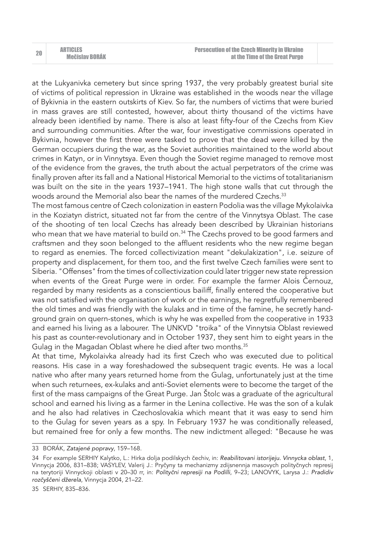at the Lukyanivka cemetery but since spring 1937, the very probably greatest burial site of victims of political repression in Ukraine was established in the woods near the village of Bykivnia in the eastern outskirts of Kiev. So far, the numbers of victims that were buried in mass graves are still contested, however, about thirty thousand of the victims have already been identified by name. There is also at least fifty-four of the Czechs from Kiev and surrounding communities. After the war, four investigative commissions operated in Bykivnia, however the first three were tasked to prove that the dead were killed by the German occupiers during the war, as the Soviet authorities maintained to the world about crimes in Katyn, or in Vinnytsya. Even though the Soviet regime managed to remove most of the evidence from the graves, the truth about the actual perpetrators of the crime was finally proven after its fall and a National Historical Memorial to the victims of totalitarianism was built on the site in the years 1937–1941. The high stone walls that cut through the woods around the Memorial also bear the names of the murdered Czechs.<sup>33</sup>

The most famous centre of Czech colonization in eastern Podolia was the village Mykolaivka in the Koziatyn district, situated not far from the centre of the Vinnytsya Oblast. The case of the shooting of ten local Czechs has already been described by Ukrainian historians who mean that we have material to build on.<sup>34</sup> The Czechs proved to be good farmers and craftsmen and they soon belonged to the affluent residents who the new regime began to regard as enemies. The forced collectivization meant "dekulakization", i.e. seizure of property and displacement, for them too, and the first twelve Czech families were sent to Siberia. "Offenses" from the times of collectivization could later trigger new state repression when events of the Great Purge were in order. For example the farmer Alois Černouz, regarded by many residents as a conscientious bailiff, finally entered the cooperative but was not satisfied with the organisation of work or the earnings, he regretfully remembered the old times and was friendly with the kulaks and in time of the famine, he secretly handground grain on quern-stones, which is why he was expelled from the cooperative in 1933 and earned his living as a labourer. The UNKVD "troika" of the Vinnytsia Oblast reviewed his past as counter-revolutionary and in October 1937, they sent him to eight years in the Gulag in the Magadan Oblast where he died after two months.<sup>35</sup>

At that time, Mykolaivka already had its first Czech who was executed due to political reasons. His case in a way foreshadowed the subsequent tragic events. He was a local native who after many years returned home from the Gulag, unfortunately just at the time when such returnees, ex-kulaks and anti-Soviet elements were to become the target of the first of the mass campaigns of the Great Purge. Jan Štolc was a graduate of the agricultural school and earned his living as a farmer in the Lenina collective. He was the son of a kulak and he also had relatives in Czechoslovakia which meant that it was easy to send him to the Gulag for seven years as a spy. In February 1937 he was conditionally released, but remained free for only a few months. The new indictment alleged: "Because he was

<sup>33</sup> BORÁK, Zatajené popravy, 159–168.

<sup>34</sup> For example SERHIY Kalytko, L.: Hirka dolja podilskych čechiv, in: Reabilitovani istorijeju. Vinnycka oblast, 1, Vinnycja 2006, 831–838; VASYLEV, Valerij J.: Pryčyny ta mechanizmy zdijsnennja masovych polityčnych represij na terytoriji Vinnyckoji oblasti v 20–30 rr, in: Polityčni represiji na Podilli, 9–23; LANOVYK, Larysa J.: Pradidiv rozčyščeni džerela, Vinnycja 2004, 21–22.

<sup>35</sup> SERHIY, 835–836.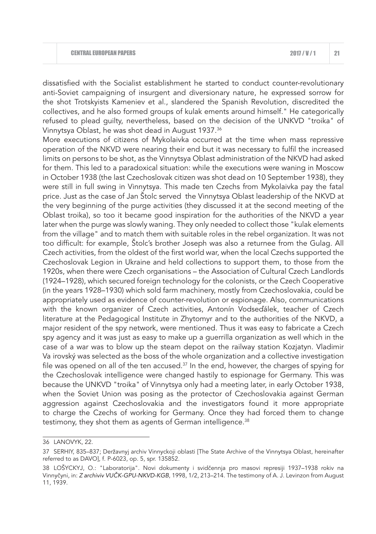dissatisfied with the Socialist establishment he started to conduct counter-revolutionary anti-Soviet campaigning of insurgent and diversionary nature, he expressed sorrow for the shot Trotskyists Kameniev et al., slandered the Spanish Revolution, discredited the collectives, and he also formed groups of kulak ements around himself." He categorically refused to plead guilty, nevertheless, based on the decision of the UNKVD "troika" of Vinnytsya Oblast, he was shot dead in August 1937.36

More executions of citizens of Mykolaivka occurred at the time when mass repressive operation of the NKVD were nearing their end but it was necessary to fulfil the increased limits on persons to be shot, as the Vinnytsya Oblast administration of the NKVD had asked for them. This led to a paradoxical situation: while the executions were waning in Moscow in October 1938 (the last Czechoslovak citizen was shot dead on 10 September 1938), they were still in full swing in Vinnytsya. This made ten Czechs from Mykolaivka pay the fatal price. Just as the case of Jan Štolc served the Vinnytsya Oblast leadership of the NKVD at the very beginning of the purge activities (they discussed it at the second meeting of the Oblast troika), so too it became good inspiration for the authorities of the NKVD a year later when the purge was slowly waning. They only needed to collect those "kulak elements from the village" and to match them with suitable roles in the rebel organization. It was not too difficult: for example, Štolc's brother Joseph was also a returnee from the Gulag. All Czech activities, from the oldest of the first world war, when the local Czechs supported the Czechoslovak Legion in Ukraine and held collections to support them, to those from the 1920s, when there were Czech organisations – the Association of Cultural Czech Landlords (1924–1928), which secured foreign technology for the colonists, or the Czech Cooperative (in the years 1928–1930) which sold farm machinery, mostly from Czechoslovakia, could be appropriately used as evidence of counter-revolution or espionage. Also, communications with the known organizer of Czech activities, Antonín Vodseďálek, teacher of Czech literature at the Pedagogical Institute in Zhytomyr and to the authorities of the NKVD, a major resident of the spy network, were mentioned. Thus it was easy to fabricate a Czech spy agency and it was just as easy to make up a guerrilla organization as well which in the case of a war was to blow up the steam depot on the railway station Kozjatyn. Vladimir Va irovský was selected as the boss of the whole organization and a collective investigation file was opened on all of the ten accused. $37$  In the end, however, the charges of spying for the Czechoslovak intelligence were changed hastily to espionage for Germany. This was because the UNKVD "troika" of Vinnytsya only had a meeting later, in early October 1938, when the Soviet Union was posing as the protector of Czechoslovakia against German aggression against Czechoslovakia and the investigators found it more appropriate to charge the Czechs of working for Germany. Once they had forced them to change testimony, they shot them as agents of German intelligence.<sup>38</sup>

<sup>36</sup> LANOVYK, 22.

<sup>37</sup> SERHIY, 835–837; Deržavnyj archiv Vinnyckoji oblasti [The State Archive of the Vinnytsya Oblast, hereinafter referred to as DAVO], f. P-6023, op. 5, spr. 135852.

<sup>38</sup> LOŠYCKYJ, O.: "Laboratorija". Novi dokumenty i svidčennja pro masovi represiji 1937–1938 rokiv na Vinnyčyni, in: Z archiviv VUČK-GPU-NKVD-KGB, 1998, 1/2, 213–214. The testimony of A. J. Levinzon from August 11, 1939.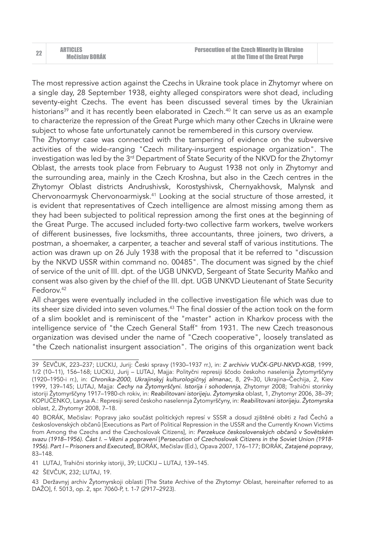| 22<br>LL | <b>ARTICLES</b>       | <b>Persecution of the Czech Minority in Ukraine</b> |
|----------|-----------------------|-----------------------------------------------------|
|          | <b>Mečislav BORÁK</b> | at the Time of the Great Purge                      |

The most repressive action against the Czechs in Ukraine took place in Zhytomyr where on a single day, 28 September 1938, eighty alleged conspirators were shot dead, including seventy-eight Czechs. The event has been discussed several times by the Ukrainian historians<sup>39</sup> and it has recently been elaborated in Czech.<sup>40</sup> It can serve us as an example to characterize the repression of the Great Purge which many other Czechs in Ukraine were subject to whose fate unfortunately cannot be remembered in this cursory overview.

The Zhytomyr case was connected with the tampering of evidence on the subversive activities of the wide-ranging "Czech military-insurgent espionage organization". The investigation was led by the  $3<sup>rd</sup>$  Department of State Security of the NKVD for the Zhytomyr Oblast, the arrests took place from February to August 1938 not only in Zhytomyr and the surrounding area, mainly in the Czech Kroshna, but also in the Czech centres in the Zhytomyr Oblast districts Andrushivsk, Korostyshivsk, Chernyakhovsk, Malynsk and Chervonoarmysk Chervonoarmiysk.41 Looking at the social structure of those arrested, it is evident that representatives of Czech intelligence are almost missing among them as they had been subjected to political repression among the first ones at the beginning of the Great Purge. The accused included forty-two collective farm workers, twelve workers of different businesses, five locksmiths, three accountants, three joiners, two drivers, a postman, a shoemaker, a carpenter, a teacher and several staff of various institutions. The action was drawn up on 26 July 1938 with the proposal that it be referred to "discussion by the NKVD USSR within command no. 00485". The document was signed by the chief of service of the unit of III. dpt. of the UGB UNKVD, Sergeant of State Security Maňko and consent was also given by the chief of the III. dpt. UGB UNKVD Lieutenant of State Security Fedorov.42

All charges were eventually included in the collective investigation file which was due to its sheer size divided into seven volumes.<sup>43</sup> The final dossier of the action took on the form of a slim booklet and is reminiscent of the "master" action in Kharkov process with the intelligence service of "the Czech General Staff" from 1931. The new Czech treasonous organization was devised under the name of "Czech cooperative", loosely translated as "the Czech nationalist insurgent association". The origins of this organization went back

42 ŠEVČUK, 232; LUTAJ, 19.

<sup>39</sup> ŠEVČUK, 223–237; LUCKIJ, Jurij: Česki spravy (1930–1937 rr.), in: Z archiviv VUČK-GPU-NKVD-KGB, 1999, 1/2 (10–11), 156–168; LUCKIJ, Jurij – LUTAJ, Majja: Polityčni represiji ščodo českoho naselenija Žytomyrščyny (1920–1950-i rr.), in: Chronika-2000, Ukrajinskyj kulturologičnyj almanac, 8, 29–30, Ukrajina–Čechija, 2, Kiev 1999, 139–145; LUTAJ, Majja: Čechy na Žytomyrščyni. Istorija i sohodennja, Zhytomyr 2008; Trahični storinky istoriji Žytomyrščyny 1917–1980-ch rokiv, in: Reabilitovani istorijeju. Žytomyrska oblast, 1, Zhytomyr 2006, 38–39; KOPIJČENKO, Larysa A.: Represiji sered českoho naselennja Žytomyrščyny, in: Reabilitovani istorijeju. Žytomyrska oblast, 2, Zhytomyr 2008, 7–18.

<sup>40</sup> BORÁK, Mečislav: Popravy jako součást politických represí v SSSR a dosud zjištěné oběti z řad Čechů a československých občanů [Executions as Part of Political Repression in the USSR and the Currently Known Victims from Among the Czechs and the Czechoslovak Citizens], in: Perzekuce československých občanů v Sovětském svazu (1918–1956). Část I. – Vězni a popravení [Persecution of Czechoslovak Citizens in the Soviet Union (1918- 1956). Part I – Prisoners and Executed], BORÁK, Mečislav (Ed.), Opava 2007, 176–177; BORÁK, Zatajené popravy, 83–148.

<sup>41</sup> LUTAJ, Trahični storinky istoriji, 39; LUCKIJ – LUTAJ, 139–145.

<sup>43</sup> Deržavnyj archiv Žytomyrskoji oblasti [The State Archive of the Zhytomyr Oblast, hereinafter referred to as DAŽO], f. 5013, op. 2, spr. 7060-P, t. 1-7 (2917–2923).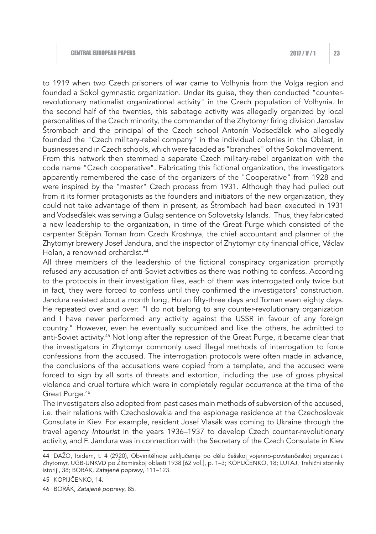to 1919 when two Czech prisoners of war came to Volhynia from the Volga region and founded a Sokol gymnastic organization. Under its guise, they then conducted "counterrevolutionary nationalist organizational activity" in the Czech population of Volhynia. In the second half of the twenties, this sabotage activity was allegedly organized by local personalities of the Czech minority, the commander of the Zhytomyr firing division Jaroslav Štrombach and the principal of the Czech school Antonín Vodseďálek who allegedly founded the "Czech military-rebel company" in the individual colonies in the Oblast, in businesses and in Czech schools, which were facaded as "branches" of the Sokol movement. From this network then stemmed a separate Czech military-rebel organization with the code name "Czech cooperative". Fabricating this fictional organization, the investigators apparently remembered the case of the organizers of the "Cooperative" from 1928 and were inspired by the "master" Czech process from 1931. Although they had pulled out from it its former protagonists as the founders and initiators of the new organization, they could not take advantage of them in present, as Štrombach had been executed in 1931 and Vodseďálek was serving a Gulag sentence on Solovetsky Islands. Thus, they fabricated a new leadership to the organization, in time of the Great Purge which consisted of the carpenter Stěpán Toman from Czech Kroshnya, the chief accountant and planner of the Zhytomyr brewery Josef Jandura, and the inspector of Zhytomyr city financial office, Václav Holan, a renowned orchardist.<sup>44</sup>

All three members of the leadership of the fictional conspiracy organization promptly refused any accusation of anti-Soviet activities as there was nothing to confess. According to the protocols in their investigation files, each of them was interrogated only twice but in fact, they were forced to confess until they confirmed the investigators' construction. Jandura resisted about a month long, Holan fifty-three days and Toman even eighty days. He repeated over and over: "I do not belong to any counter-revolutionary organization and I have never performed any activity against the USSR in favour of any foreign country." However, even he eventually succumbed and like the others, he admitted to anti-Soviet activity.45 Not long after the repression of the Great Purge, it became clear that the investigators in Zhytomyr commonly used illegal methods of interrogation to force confessions from the accused. The interrogation protocols were often made in advance, the conclusions of the accusations were copied from a template, and the accused were forced to sign by all sorts of threats and extortion, including the use of gross physical violence and cruel torture which were in completely regular occurrence at the time of the Great Purge.<sup>46</sup>

The investigators also adopted from past cases main methods of subversion of the accused, i.e. their relations with Czechoslovakia and the espionage residence at the Czechoslovak Consulate in Kiev. For example, resident Josef Vlasák was coming to Ukraine through the travel agency Intourist in the years 1936–1937 to develop Czech counter-revolutionary activity, and F. Jandura was in connection with the Secretary of the Czech Consulate in Kiev

<sup>44</sup> DAŽO, Ibidem, t. 4 (2920), Obvinitělnoje zaključenije po dělu češskoj vojenno-povstančeskoj organizacii. Zhytomyr, UGB-UNKVD po Žitomirskoj oblasti 1938 [62 vol.], p. 1–3; KOPIJČENKO, 18; LUTAJ, Trahični storinky istoriji, 38; BORÁK, Zatajené popravy, 111–123.

<sup>45</sup> KOPIJČENKO, 14.

<sup>46</sup> BORÁK, Zatajené popravy, 85.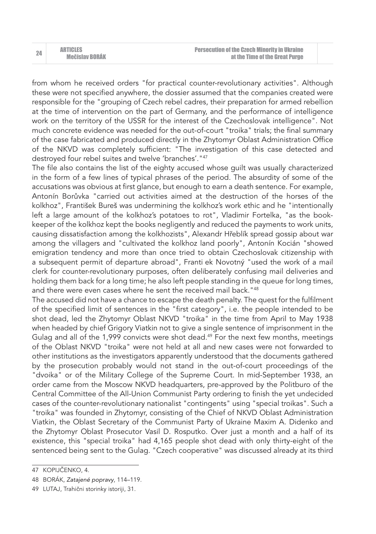from whom he received orders "for practical counter-revolutionary activities". Although these were not specified anywhere, the dossier assumed that the companies created were responsible for the "grouping of Czech rebel cadres, their preparation for armed rebellion at the time of intervention on the part of Germany, and the performance of intelligence work on the territory of the USSR for the interest of the Czechoslovak intelligence". Not much concrete evidence was needed for the out-of-court "troika" trials; the final summary of the case fabricated and produced directly in the Zhytomyr Oblast Administration Office of the NKVD was completely sufficient: "The investigation of this case detected and destroyed four rebel suites and twelve 'branches'."47

The file also contains the list of the eighty accused whose guilt was usually characterized in the form of a few lines of typical phrases of the period. The absurdity of some of the accusations was obvious at first glance, but enough to earn a death sentence. For example, Antonín Borůvka "carried out activities aimed at the destruction of the horses of the kolkhoz", František Bureš was undermining the kolkhoz's work ethic and he "intentionally left a large amount of the kolkhoz's potatoes to rot", Vladimir Fortelka, "as the bookkeeper of the kolkhoz kept the books negligently and reduced the payments to work units, causing dissatisfaction among the kolkhozists", Alexandr Hřeblík spread gossip about war among the villagers and "cultivated the kolkhoz land poorly", Antonín Kocián "showed emigration tendency and more than once tried to obtain Czechoslovak citizenship with a subsequent permit of departure abroad", Franti ek Novotný "used the work of a mail clerk for counter-revolutionary purposes, often deliberately confusing mail deliveries and holding them back for a long time; he also left people standing in the queue for long times, and there were even cases where he sent the received mail back."48

The accused did not have a chance to escape the death penalty. The quest for the fulfilment of the specified limit of sentences in the "first category", i.e. the people intended to be shot dead, led the Zhytomyr Oblast NKVD "troika" in the time from April to May 1938 when headed by chief Grigory Viatkin not to give a single sentence of imprisonment in the Gulag and all of the 1,999 convicts were shot dead.<sup>49</sup> For the next few months, meetings of the Oblast NKVD "troika" were not held at all and new cases were not forwarded to other institutions as the investigators apparently understood that the documents gathered by the prosecution probably would not stand in the out-of-court proceedings of the "dvoika" or of the Military College of the Supreme Court. In mid-September 1938, an order came from the Moscow NKVD headquarters, pre-approved by the Politburo of the Central Committee of the All-Union Communist Party ordering to finish the yet undecided cases of the counter-revolutionary nationalist "contingents" using "special troikas". Such a "troika" was founded in Zhytomyr, consisting of the Chief of NKVD Oblast Administration Viatkin, the Oblast Secretary of the Communist Party of Ukraine Maxim A. Didenko and the Zhytomyr Oblast Prosecutor Vasil D. Rosputko. Over just a month and a half of its existence, this "special troika" had 4,165 people shot dead with only thirty-eight of the sentenced being sent to the Gulag. "Czech cooperative" was discussed already at its third

<sup>47</sup> KOPIJČENKO, 4.

<sup>48</sup> BORÁK, Zatajené popravy, 114–119.

<sup>49</sup> LUTAJ, Trahični storinky istoriji, 31.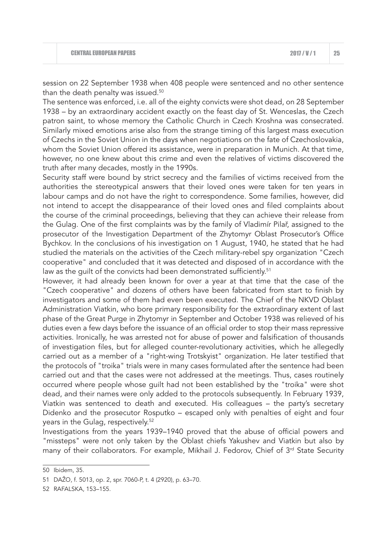session on 22 September 1938 when 408 people were sentenced and no other sentence than the death penalty was issued.<sup>50</sup>

The sentence was enforced, i.e. all of the eighty convicts were shot dead, on 28 September 1938 – by an extraordinary accident exactly on the feast day of St. Wenceslas, the Czech patron saint, to whose memory the Catholic Church in Czech Kroshna was consecrated. Similarly mixed emotions arise also from the strange timing of this largest mass execution of Czechs in the Soviet Union in the days when negotiations on the fate of Czechoslovakia, whom the Soviet Union offered its assistance, were in preparation in Munich. At that time, however, no one knew about this crime and even the relatives of victims discovered the truth after many decades, mostly in the 1990s.

Security staff were bound by strict secrecy and the families of victims received from the authorities the stereotypical answers that their loved ones were taken for ten years in labour camps and do not have the right to correspondence. Some families, however, did not intend to accept the disappearance of their loved ones and filed complaints about the course of the criminal proceedings, believing that they can achieve their release from the Gulag. One of the first complaints was by the family of Vladimír Pilař, assigned to the prosecutor of the Investigation Department of the Zhytomyr Oblast Prosecutor's Office Bychkov. In the conclusions of his investigation on 1 August, 1940, he stated that he had studied the materials on the activities of the Czech military-rebel spy organization "Czech cooperative" and concluded that it was detected and disposed of in accordance with the law as the quilt of the convicts had been demonstrated sufficiently.<sup>51</sup>

However, it had already been known for over a year at that time that the case of the "Czech cooperative" and dozens of others have been fabricated from start to finish by investigators and some of them had even been executed. The Chief of the NKVD Oblast Administration Viatkin, who bore primary responsibility for the extraordinary extent of last phase of the Great Purge in Zhytomyr in September and October 1938 was relieved of his duties even a few days before the issuance of an official order to stop their mass repressive activities. Ironically, he was arrested not for abuse of power and falsification of thousands of investigation files, but for alleged counter-revolutionary activities, which he allegedly carried out as a member of a "right-wing Trotskyist" organization. He later testified that the protocols of "troika" trials were in many cases formulated after the sentence had been carried out and that the cases were not addressed at the meetings. Thus, cases routinely occurred where people whose guilt had not been established by the "troika" were shot dead, and their names were only added to the protocols subsequently. In February 1939, Viatkin was sentenced to death and executed. His colleagues – the party's secretary Didenko and the prosecutor Rosputko – escaped only with penalties of eight and four years in the Gulag, respectively.52

Investigations from the years 1939–1940 proved that the abuse of official powers and "missteps" were not only taken by the Oblast chiefs Yakushev and Viatkin but also by many of their collaborators. For example, Mikhail J. Fedorov, Chief of 3<sup>rd</sup> State Security

<sup>50</sup> Ibidem, 35.

<sup>51</sup> DAŽO, f. 5013, op. 2, spr. 7060-P, t. 4 (2920), p. 63–70.

<sup>52</sup> RAFALSKA, 153–155.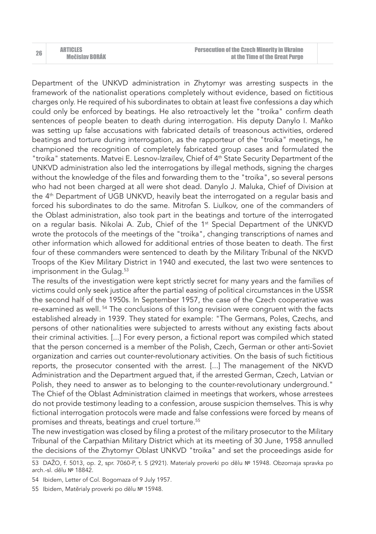Department of the UNKVD administration in Zhytomyr was arresting suspects in the framework of the nationalist operations completely without evidence, based on fictitious charges only. He required of his subordinates to obtain at least five confessions a day which could only be enforced by beatings. He also retroactively let the "troika" confirm death sentences of people beaten to death during interrogation. His deputy Danylo I. Maňko was setting up false accusations with fabricated details of treasonous activities, ordered beatings and torture during interrogation, as the rapporteur of the "troika" meetings, he championed the recognition of completely fabricated group cases and formulated the "troika" statements. Matvei E. Lesnov-Izrailev, Chief of 4<sup>th</sup> State Security Department of the UNKVD administration also led the interrogations by illegal methods, signing the charges without the knowledge of the files and forwarding them to the "troika", so several persons who had not been charged at all were shot dead. Danylo J. Maluka, Chief of Division at the  $4<sup>th</sup>$  Department of UGB UNKVD, heavily beat the interrogated on a regular basis and forced his subordinates to do the same. Mitrofan S. Liulkov, one of the commanders of the Oblast administration, also took part in the beatings and torture of the interrogated on a regular basis. Nikolai A. Zub, Chief of the 1st Special Department of the UNKVD wrote the protocols of the meetings of the "troika", changing transcriptions of names and other information which allowed for additional entries of those beaten to death. The first four of these commanders were sentenced to death by the Military Tribunal of the NKVD Troops of the Kiev Military District in 1940 and executed, the last two were sentences to imprisonment in the Gulag.<sup>53</sup>

The results of the investigation were kept strictly secret for many years and the families of victims could only seek justice after the partial easing of political circumstances in the USSR the second half of the 1950s. In September 1957, the case of the Czech cooperative was re-examined as well. 54 The conclusions of this long revision were congruent with the facts established already in 1939. They stated for example: "The Germans, Poles, Czechs, and persons of other nationalities were subjected to arrests without any existing facts about their criminal activities. [...] For every person, a fictional report was compiled which stated that the person concerned is a member of the Polish, Czech, German or other anti-Soviet organization and carries out counter-revolutionary activities. On the basis of such fictitious reports, the prosecutor consented with the arrest. [...] The management of the NKVD Administration and the Department argued that, if the arrested German, Czech, Latvian or Polish, they need to answer as to belonging to the counter-revolutionary underground." The Chief of the Oblast Administration claimed in meetings that workers, whose arrestees do not provide testimony leading to a confession, arouse suspicion themselves. This is why fictional interrogation protocols were made and false confessions were forced by means of promises and threats, beatings and cruel torture.55

The new investigation was closed by filing a protest of the military prosecutor to the Military Tribunal of the Carpathian Military District which at its meeting of 30 June, 1958 annulled the decisions of the Zhytomyr Oblast UNKVD "troika" and set the proceedings aside for

<sup>53</sup> DAŽO, f. 5013, op. 2, spr. 7060-P, t. 5 (2921). Materialy proverki po dělu № 15948. Obzornaja spravka po arch.-sl. dělu № 18842.

<sup>54</sup> Ibidem, Letter of Col. Bogomaza of 9 July 1957.

<sup>55</sup> Ibidem, Matěrialy proverki po dělu № 15948.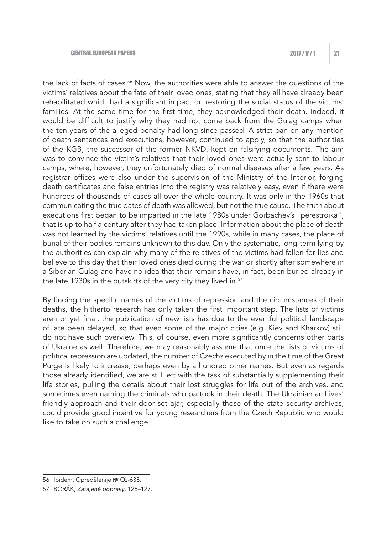the lack of facts of cases.<sup>56</sup> Now, the authorities were able to answer the questions of the victims' relatives about the fate of their loved ones, stating that they all have already been rehabilitated which had a significant impact on restoring the social status of the victims' families. At the same time for the first time, they acknowledged their death. Indeed, it would be difficult to justify why they had not come back from the Gulag camps when the ten years of the alleged penalty had long since passed. A strict ban on any mention of death sentences and executions, however, continued to apply, so that the authorities of the KGB, the successor of the former NKVD, kept on falsifying documents. The aim was to convince the victim's relatives that their loved ones were actually sent to labour camps, where, however, they unfortunately died of normal diseases after a few years. As registrar offices were also under the supervision of the Ministry of the Interior, forging death certificates and false entries into the registry was relatively easy, even if there were hundreds of thousands of cases all over the whole country. It was only in the 1960s that communicating the true dates of death was allowed, but not the true cause. The truth about executions first began to be imparted in the late 1980s under Gorbachev's "perestroika", that is up to half a century after they had taken place. Information about the place of death was not learned by the victims' relatives until the 1990s, while in many cases, the place of burial of their bodies remains unknown to this day. Only the systematic, long-term lying by the authorities can explain why many of the relatives of the victims had fallen for lies and believe to this day that their loved ones died during the war or shortly after somewhere in a Siberian Gulag and have no idea that their remains have, in fact, been buried already in the late 1930s in the outskirts of the very city they lived in.<sup>57</sup>

By finding the specific names of the victims of repression and the circumstances of their deaths, the hitherto research has only taken the first important step. The lists of victims are not yet final, the publication of new lists has due to the eventful political landscape of late been delayed, so that even some of the major cities (e.g. Kiev and Kharkov) still do not have such overview. This, of course, even more significantly concerns other parts of Ukraine as well. Therefore, we may reasonably assume that once the lists of victims of political repression are updated, the number of Czechs executed by in the time of the Great Purge is likely to increase, perhaps even by a hundred other names. But even as regards those already identified, we are still left with the task of substantially supplementing their life stories, pulling the details about their lost struggles for life out of the archives, and sometimes even naming the criminals who partook in their death. The Ukrainian archives' friendly approach and their door set ajar, especially those of the state security archives, could provide good incentive for young researchers from the Czech Republic who would like to take on such a challenge.

<sup>56</sup> Ibidem, Opredělenije № Ož-638.

<sup>57</sup> BORÁK, Zatajené popravy, 126–127.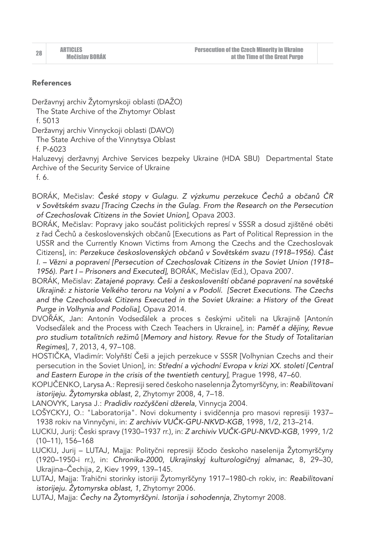### **References**

Deržavnyj archiv Žytomyrskoji oblasti (DAŽO)

The State Archive of the Zhytomyr Oblast

f. 5013

Deržavnyj archiv Vinnyckoji oblasti (DAVO)

The State Archive of the Vinnytsya Oblast

f. P-6023

Haluzevyj deržavnyj Archive Services bezpeky Ukraine (HDA SBU) Departmental State Archive of the Security Service of Ukraine

f. 6.

- BORÁK, Mečislav: České stopy v Gulagu. Z výzkumu perzekuce Čechů a občanů ČR v Sovětském svazu [Tracing Czechs in the Gulag. From the Research on the Persecution of Czechoslovak Citizens in the Soviet Union], Opava 2003.
- BORÁK, Mečislav: Popravy jako součást politických represí v SSSR a dosud zjištěné oběti z řad Čechů a československých občanů [Executions as Part of Political Repression in the USSR and the Currently Known Victims from Among the Czechs and the Czechoslovak Citizens], in: Perzekuce československých občanů v Sovětském svazu (1918–1956). Část I. – Vězni a popravení [Persecution of Czechoslovak Citizens in the Soviet Union (1918– 1956). Part I – Prisoners and Executed], BORÁK, Mečislav (Ed.), Opava 2007.
- BORÁK, Mečislav: Zatajené popravy. Češi a českoslovenští občané popravení na sovětské Ukrajině: z historie Velkého teroru na Volyni a v Podolí. [Secret Executions. The Czechs and the Czechoslovak Citizens Executed in the Soviet Ukraine: a History of the Great Purge in Volhynia and Podolia], Opava 2014.
- DVOŘÁK, Jan: Antonín Vodseďálek a proces s českými učiteli na Ukrajině [Antonín Vodseďálek and the Process with Czech Teachers in Ukraine], in: Paměť a dějiny, Revue pro studium totalitních režimů [Memory and history. Revue for the Study of Totalitarian Regimes], 7, 2013, 4, 97–108.
- HOSTIČKA, Vladimír: Volyňští Češi a jejich perzekuce v SSSR [Volhynian Czechs and their persecution in the Soviet Union], in: Střední a východní Evropa v krizi XX. století [Central and Eastern Europe in the crisis of the twentieth century], Prague 1998, 47–60.
- KOPIJČENKO, Larysa A.: Represiji sered českoho naselennja Žytomyrščyny, in: Reabilitovani istorijeju. Žytomyrska oblast, 2, Zhytomyr 2008, 4, 7–18.

LANOVYK, Larysa J.: Pradidiv rozčyščeni džerela, Vinnycja 2004.

- LOŠYCKYJ, O.: "Laboratorija". Novi dokumenty i svidčennja pro masovi represiji 1937– 1938 rokiv na Vinnyčyni, in: Z archiviv VUČK-GPU-NKVD-KGB, 1998, 1/2, 213–214.
- LUCKIJ, Jurij: Česki spravy (1930–1937 rr.), in: Z archiviv VUČK-GPU-NKVD-KGB, 1999, 1/2 (10–11), 156–168
- LUCKIJ, Jurij LUTAJ, Majja: Polityčni represiji ščodo českoho naselenija Žytomyrščyny (1920–1950-i rr.), in: Chronika-2000, Ukrajinskyj kulturologičnyj almanac, 8, 29–30, Ukrajina–Čechija, 2, Kiev 1999, 139–145.
- LUTAJ, Majja: Trahični storinky istoriji Žytomyrščyny 1917–1980-ch rokiv, in: Reabilitovani istorijeju. Žytomyrska oblast, 1, Zhytomyr 2006.
- LUTAJ, Majja: Čechy na Žytomyrščyni. Istorija i sohodennja, Zhytomyr 2008.